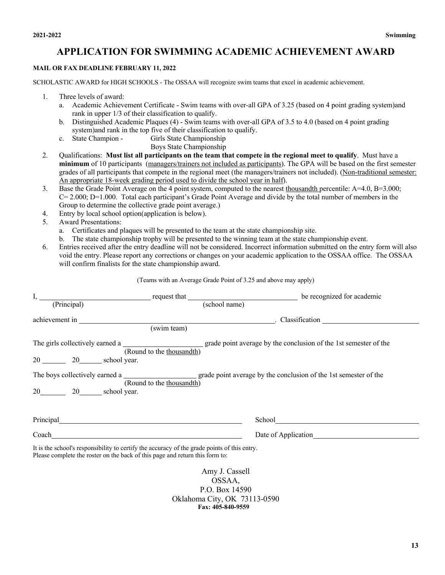## **APPLICATION FOR SWIMMING ACADEMIC ACHIEVEMENT AWARD**

## **MAIL OR FAX DEADLINE FEBRUARY 11, 2022**

SCHOLASTIC AWARD for HIGH SCHOOLS - The OSSAA will recognize swim teams that excel in academic achievement.

- 1. Three levels of award:
	- a. Academic Achievement Certificate Swim teams with over-all GPA of 3.25 (based on 4 point grading system)and rank in upper 1/3 of their classification to qualify.
	- b. Distinguished Academic Plaques (4) Swim teams with over-all GPA of 3.5 to 4.0 (based on 4 point grading system)and rank in the top five of their classification to qualify.
	- c. State Champion Girls State Championship
		- Boys State Championship
- 2. Qualifications: **Must list all participants on the team that compete in the regional meet to qualify**. Must have a **minimum** of 10 participants (managers/trainers not included as participants). The GPA will be based on the first semester grades of all participants that compete in the regional meet (the managers/trainers not included). (Non-traditional semester: An appropriate 18-week grading period used to divide the school year in half).
- 3. Base the Grade Point Average on the 4 point system, computed to the nearest thousandth percentile: A=4.0, B=3.000;  $C = 2.000$ ;  $D=1.000$ . Total each participant's Grade Point Average and divide by the total number of members in the Group to determine the collective grade point average.)
- 4. Entry by local school option(application is below).
- 5. Award Presentations:
	- a. Certificates and plaques will be presented to the team at the state championship site.
	- b. The state championship trophy will be presented to the winning team at the state championship event.
- 6. Entries received after the entry deadline will not be considered. Incorrect information submitted on the entry form will also void the entry. Please report any corrections or changes on your academic application to the OSSAA office. The OSSAA will confirm finalists for the state championship award.

(Teams with an Average Grade Point of 3.25 and above may apply)

| (Principal)                                                                                                                                                                                                                   |                           | (school name)                                                                                                                                                                                                                        |  |
|-------------------------------------------------------------------------------------------------------------------------------------------------------------------------------------------------------------------------------|---------------------------|--------------------------------------------------------------------------------------------------------------------------------------------------------------------------------------------------------------------------------------|--|
| achievement in                                                                                                                                                                                                                | (swim team)               |                                                                                                                                                                                                                                      |  |
|                                                                                                                                                                                                                               | (Round to the thousandth) | The girls collectively earned a <u>second by the set of the set of the set of the set of the set of the set of the set of the set of the set of the set of the set of the set of the set of the set of the set of the set of the</u> |  |
|                                                                                                                                                                                                                               |                           |                                                                                                                                                                                                                                      |  |
| $20 \quad \underline{\hspace{1cm}} 20 \quad \underline{\hspace{1cm}}$ school year.                                                                                                                                            | (Round to the thousandth) | The boys collectively earned a <u>_____________________</u> grade point average by the conclusion of the 1st semester of the                                                                                                         |  |
| Principal experiments and the contract of the contract of the contract of the contract of the contract of the contract of the contract of the contract of the contract of the contract of the contract of the contract of the |                           |                                                                                                                                                                                                                                      |  |
|                                                                                                                                                                                                                               |                           |                                                                                                                                                                                                                                      |  |
| It is the school's responsibility to certify the accuracy of the grade points of this entry.<br>Please complete the roster on the back of this page and return this form to:                                                  |                           |                                                                                                                                                                                                                                      |  |

Amy J. Cassell OSSAA, P.O. Box 14590 Oklahoma City, OK 73113-0590 **Fax: 405-840-9559**